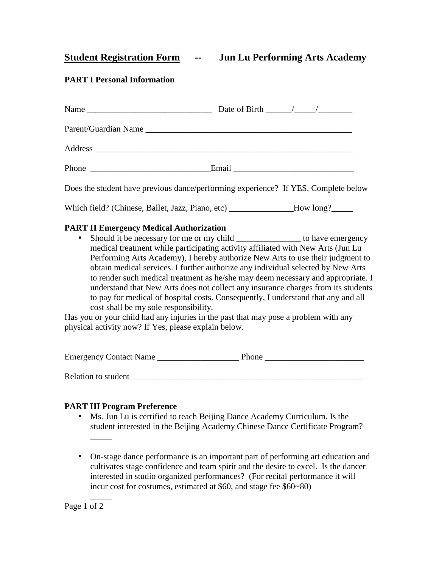**Student Registration Form -- Jun Lu Performing Arts Academy** 

# **PART I Personal Information**

| Does the student have previous dance/performing experience? If YES. Complete below |
|------------------------------------------------------------------------------------|
| Which field? (Chinese, Ballet, Jazz, Piano, etc) ________________How long?______   |

#### **PART II Emergency Medical Authorization**

• Should it be necessary for me or my child \_\_\_\_\_\_\_\_\_\_\_\_\_\_\_\_\_\_ to have emergency medical treatment while participating activity affiliated with New Arts (Jun Lu Performing Arts Academy), I hereby authorize New Arts to use their judgment to obtain medical services. I further authorize any individual selected by New Arts to render such medical treatment as he/she may deem necessary and appropriate. I understand that New Arts does not collect any insurance charges from its students to pay for medical of hospital costs. Consequently, I understand that any and all cost shall be my sole responsibility.

Has you or your child had any injuries in the past that may pose a problem with any physical activity now? If Yes, please explain below.

| <b>Emergency Contact Name</b> | <b>Phone</b> |
|-------------------------------|--------------|
| Relation to student           |              |

# **PART III Program Preference**

- Ms. Jun Lu is certified to teach Beijing Dance Academy Curriculum. Is the student interested in the Beijing Academy Chinese Dance Certificate Program?  $\frac{1}{\sqrt{2}}$
- On-stage dance performance is an important part of performing art education and cultivates stage confidence and team spirit and the desire to excel. Is the dancer interested in studio organized performances? (For recital performance it will incur cost for costumes, estimated at \$60, and stage fee \$60~80)

Page 1 of 2

 $\overline{\phantom{a}}$